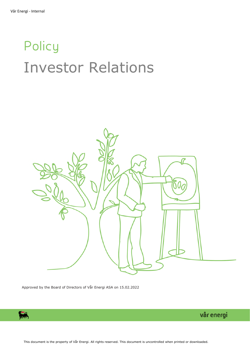# Policy Investor Relations



Approved by the Board of Directors of Vår Energi ASA on 15.02.2022

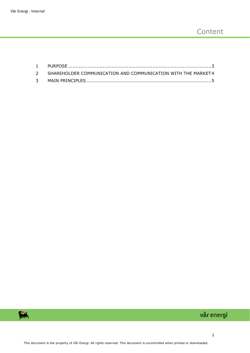| 2 SHAREHOLDER COMMUNICATION AND COMMUNICATION WITH THE MARKET4 |
|----------------------------------------------------------------|
|                                                                |

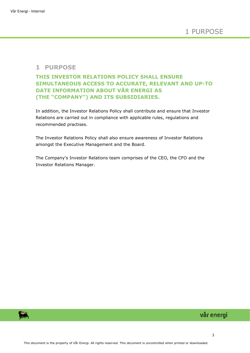#### <span id="page-2-0"></span>**1 PURPOSE**

#### **THIS INVESTOR RELATIONS POLICY SHALL ENSURE SIMULTANEOUS ACCESS TO ACCURATE, RELEVANT AND UP-TO DATE INFORMATION ABOUT VÅR ENERGI AS (THE "COMPANY") AND ITS SUBSIDIARIES.**

In addition, the Investor Relations Policy shall contribute and ensure that Investor Relations are carried out in compliance with applicable rules, regulations and recommended practises.

The Investor Relations Policy shall also ensure awareness of Investor Relations amongst the Executive Management and the Board.

The Company's Investor Relations team comprises of the CEO, the CFO and the Investor Relations Manager.

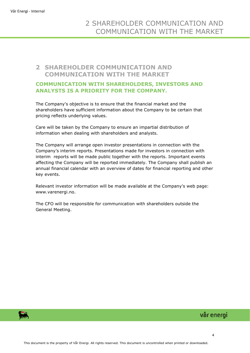### <span id="page-3-0"></span>**2 SHAREHOLDER COMMUNICATION AND COMMUNICATION WITH THE MARKET**

#### **COMMUNICATION WITH SHAREHOLDERS, INVESTORS AND ANALYSTS IS A PRIORITY FOR THE COMPANY.**

The Company's objective is to ensure that the financial market and the shareholders have sufficient information about the Company to be certain that pricing reflects underlying values.

Care will be taken by the Company to ensure an impartial distribution of information when dealing with shareholders and analysts.

The Company will arrange open investor presentations in connection with the Company's interim reports. Presentations made for investors in connection with interim reports will be made public together with the reports. Important events affecting the Company will be reported immediately. The Company shall publish an annual financial calendar with an overview of dates for financial reporting and other key events.

Relevant investor information will be made available at the Company's web page: www.varenergi.no.

The CFO will be responsible for communication with shareholders outside the General Meeting.